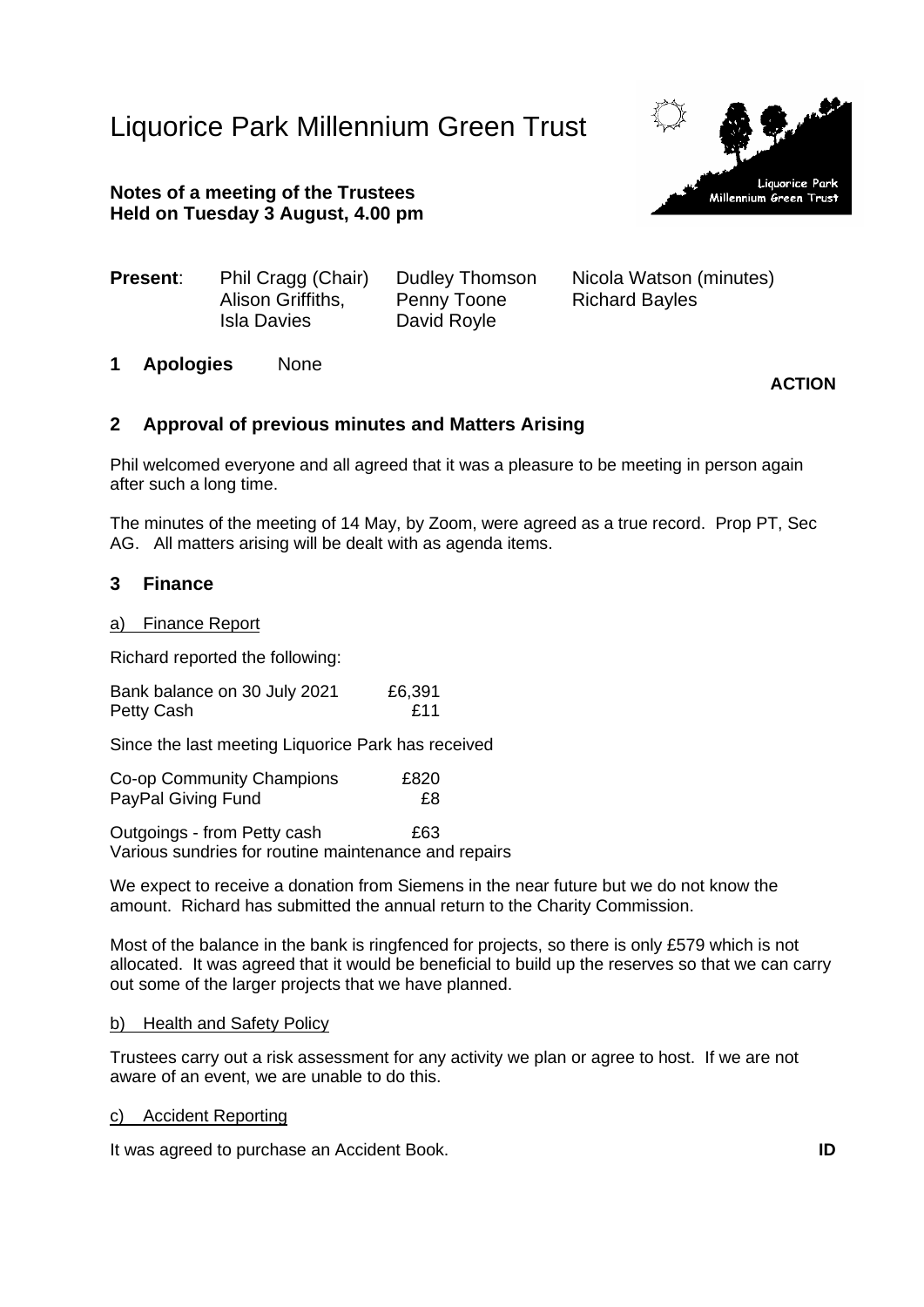# Liquorice Park Millennium Green Trust



# **Notes of a meeting of the Trustees Held on Tuesday 3 August, 4.00 pm**

**Present:** Phil Cragg (Chair) Dudley Thomson Nicola Watson (minutes)

Alison Griffiths, Penny Toone Richard Bayles Isla Davies David Royle

**1 Apologies** None

# **ACTION**

## **2 Approval of previous minutes and Matters Arising**

Phil welcomed everyone and all agreed that it was a pleasure to be meeting in person again after such a long time.

The minutes of the meeting of 14 May, by Zoom, were agreed as a true record. Prop PT, Sec AG. All matters arising will be dealt with as agenda items.

## **3 Finance**

## a) Finance Report

Richard reported the following:

Bank balance on 30 July 2021 £6,391 Petty Cash **E11** 

Since the last meeting Liquorice Park has received

Co-op Community Champions £820 PayPal Giving Fund **E8** 

Outgoings - from Petty cash £63 Various sundries for routine maintenance and repairs

We expect to receive a donation from Siemens in the near future but we do not know the amount. Richard has submitted the annual return to the Charity Commission.

Most of the balance in the bank is ringfenced for projects, so there is only £579 which is not allocated. It was agreed that it would be beneficial to build up the reserves so that we can carry out some of the larger projects that we have planned.

#### b) Health and Safety Policy

Trustees carry out a risk assessment for any activity we plan or agree to host. If we are not aware of an event, we are unable to do this.

#### c) Accident Reporting

It was agreed to purchase an Accident Book. **ID**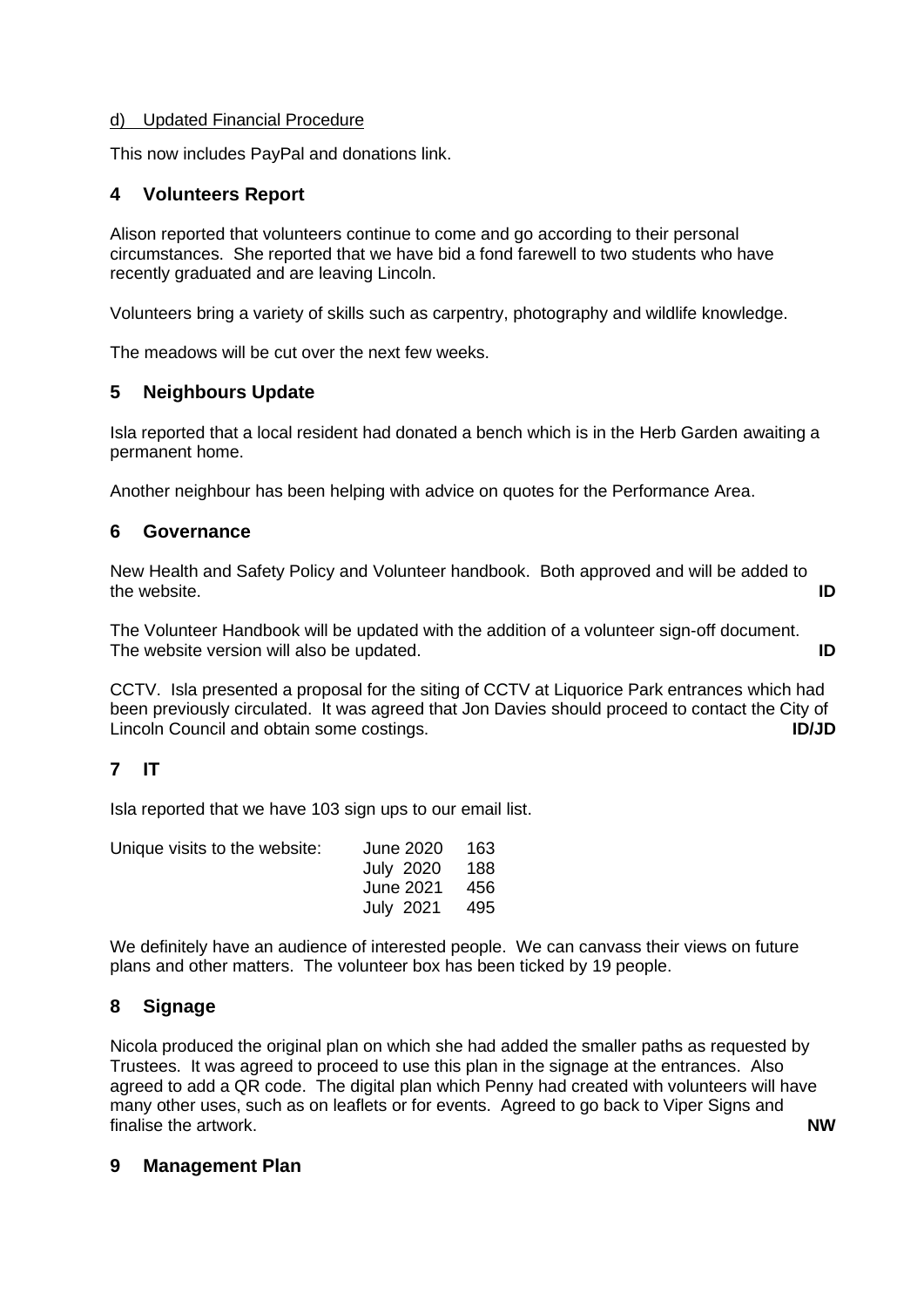## d) Updated Financial Procedure

This now includes PayPal and donations link.

# **4 Volunteers Report**

Alison reported that volunteers continue to come and go according to their personal circumstances. She reported that we have bid a fond farewell to two students who have recently graduated and are leaving Lincoln.

Volunteers bring a variety of skills such as carpentry, photography and wildlife knowledge.

The meadows will be cut over the next few weeks.

# **5 Neighbours Update**

Isla reported that a local resident had donated a bench which is in the Herb Garden awaiting a permanent home.

Another neighbour has been helping with advice on quotes for the Performance Area.

## **6 Governance**

New Health and Safety Policy and Volunteer handbook. Both approved and will be added to the website. **ID**

The Volunteer Handbook will be updated with the addition of a volunteer sign-off document. The website version will also be updated. **ID**

CCTV. Isla presented a proposal for the siting of CCTV at Liquorice Park entrances which had been previously circulated. It was agreed that Jon Davies should proceed to contact the City of Lincoln Council and obtain some costings. **ID/JD**

# **7 IT**

Isla reported that we have 103 sign ups to our email list.

| Unique visits to the website: | June 2020 163 |  |
|-------------------------------|---------------|--|
|                               | July 2020 188 |  |
|                               | June 2021 456 |  |
|                               | July 2021 495 |  |

We definitely have an audience of interested people. We can canvass their views on future plans and other matters. The volunteer box has been ticked by 19 people.

# **8 Signage**

Nicola produced the original plan on which she had added the smaller paths as requested by Trustees. It was agreed to proceed to use this plan in the signage at the entrances. Also agreed to add a QR code. The digital plan which Penny had created with volunteers will have many other uses, such as on leaflets or for events. Agreed to go back to Viper Signs and finalise the artwork. **NW**

## **9 Management Plan**